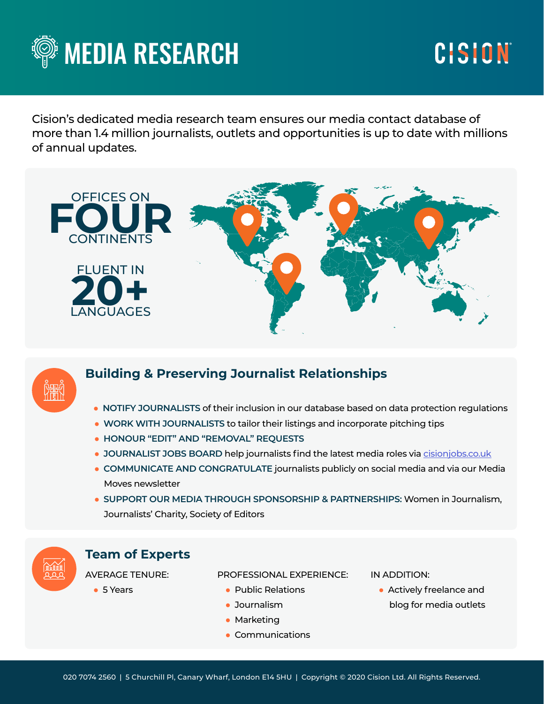

# CISION

Cision's dedicated media research team ensures our media contact database of more than 1.4 million journalists, outlets and opportunities is up to date with millions of annual updates.





# **Building & Preserving Journalist Relationships**

- **NOTIFY JOURNALISTS** of their inclusion in our database based on data protection regulations
- **WORK WITH JOURNALISTS** to tailor their listings and incorporate pitching tips
- **HONOUR "EDIT" AND "REMOVAL" REQUESTS**
- **JOURNALIST JOBS BOARD** help journalists find the latest media roles via [cisionjobs.co.uk](http://www.cisionjobs.co.uk)
- **COMMUNICATE AND CONGRATULATE** journalists publicly on social media and via our Media Moves newsletter
- **SUPPORT OUR MEDIA THROUGH SPONSORSHIP & PARTNERSHIPS:** Women in Journalism, Journalists' Charity, Society of Editors



# **Team of Experts**

AVERAGE TENURE:

● 5 Years

PROFESSIONAL EXPERIENCE:

- Public Relations
- Journalism
- Marketing
- Communications

#### IN ADDITION:

● Actively freelance and blog for media outlets